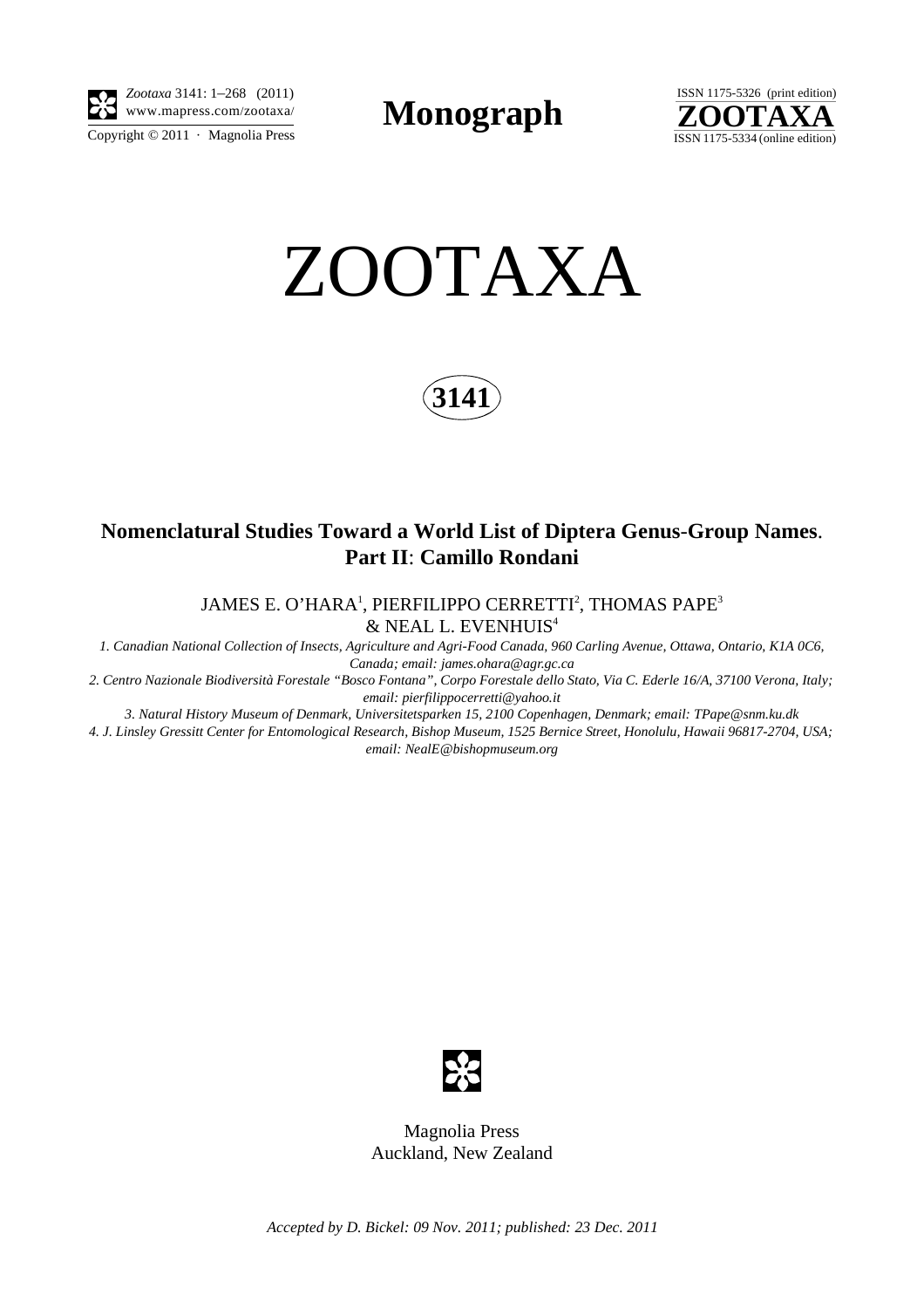

*Zootaxa* 3141: 1–268 (2011) www.mapress.com/zootaxa/ **Monograph**



ZOOTAXA

**3141**

# **Nomenclatural Studies Toward a World List of Diptera Genus**-**Group Names**. **Part II**: **Camillo Rondani**

JAMES E. O'HARA<sup>1</sup>, PIERFILIPPO CERRETTI<sup>2</sup>, THOMAS PAPE<sup>3</sup>  $\&$  NEAL L. EVENHUIS<sup>4</sup>

*1. Canadian National Collection of Insects, Agriculture and Agri-Food Canada, 960 Carling Avenue, Ottawa, Ontario, K1A 0C6, Canada; email: james.ohara@agr.gc.ca*

*2. Centro Nazionale Biodiversità Forestale "Bosco Fontana", Corpo Forestale dello Stato, Via C. Ederle 16/A, 37100 Verona, Italy; email: pierfilippocerretti@yahoo.it*

*3. Natural History Museum of Denmark, Universitetsparken 15, 2100 Copenhagen, Denmark; email: TPape@snm.ku.dk*

*4. J. Linsley Gressitt Center for Entomological Research, Bishop Museum, 1525 Bernice Street, Honolulu, Hawaii 96817-2704, USA; email: NealE@bishopmuseum.org*



Magnolia Press Auckland, New Zealand

*Accepted by D. Bickel: 09 Nov. 2011; published: 23 Dec. 2011*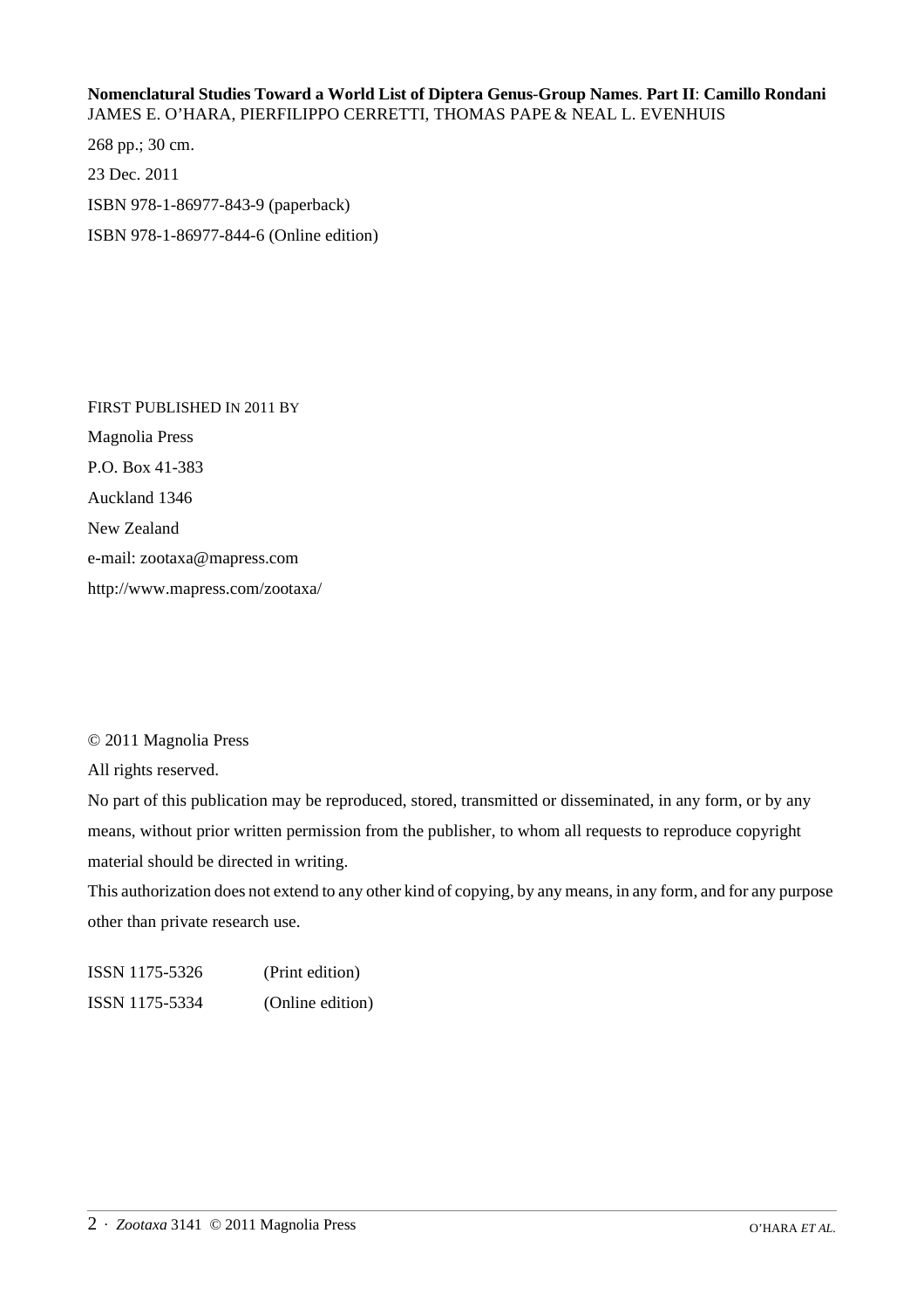## **Nomenclatural Studies Toward a World List of Diptera Genus**-**Group Names**. **Part II**: **Camillo Rondani** JAMES E. O'HARA, PIERFILIPPO CERRETTI, THOMAS PAPE& NEAL L. EVENHUIS

268 pp.; 30 cm. 23 Dec. 2011 ISBN 978-1-86977-843-9 (paperback) ISBN 978-1-86977-844-6 (Online edition)

FIRST PUBLISHED IN 2011 BY Magnolia Press P.O. Box 41-383 Auckland 1346 New Zealand e-mail: zootaxa@mapress.com http://www.mapress.com/zootaxa/

## © 2011 Magnolia Press

All rights reserved.

No part of this publication may be reproduced, stored, transmitted or disseminated, in any form, or by any means, without prior written permission from the publisher, to whom all requests to reproduce copyright material should be directed in writing.

This authorization does not extend to any other kind of copying, by any means, in any form, and for any purpose other than private research use.

| ISSN 1175-5326 | (Print edition)  |
|----------------|------------------|
| ISSN 1175-5334 | (Online edition) |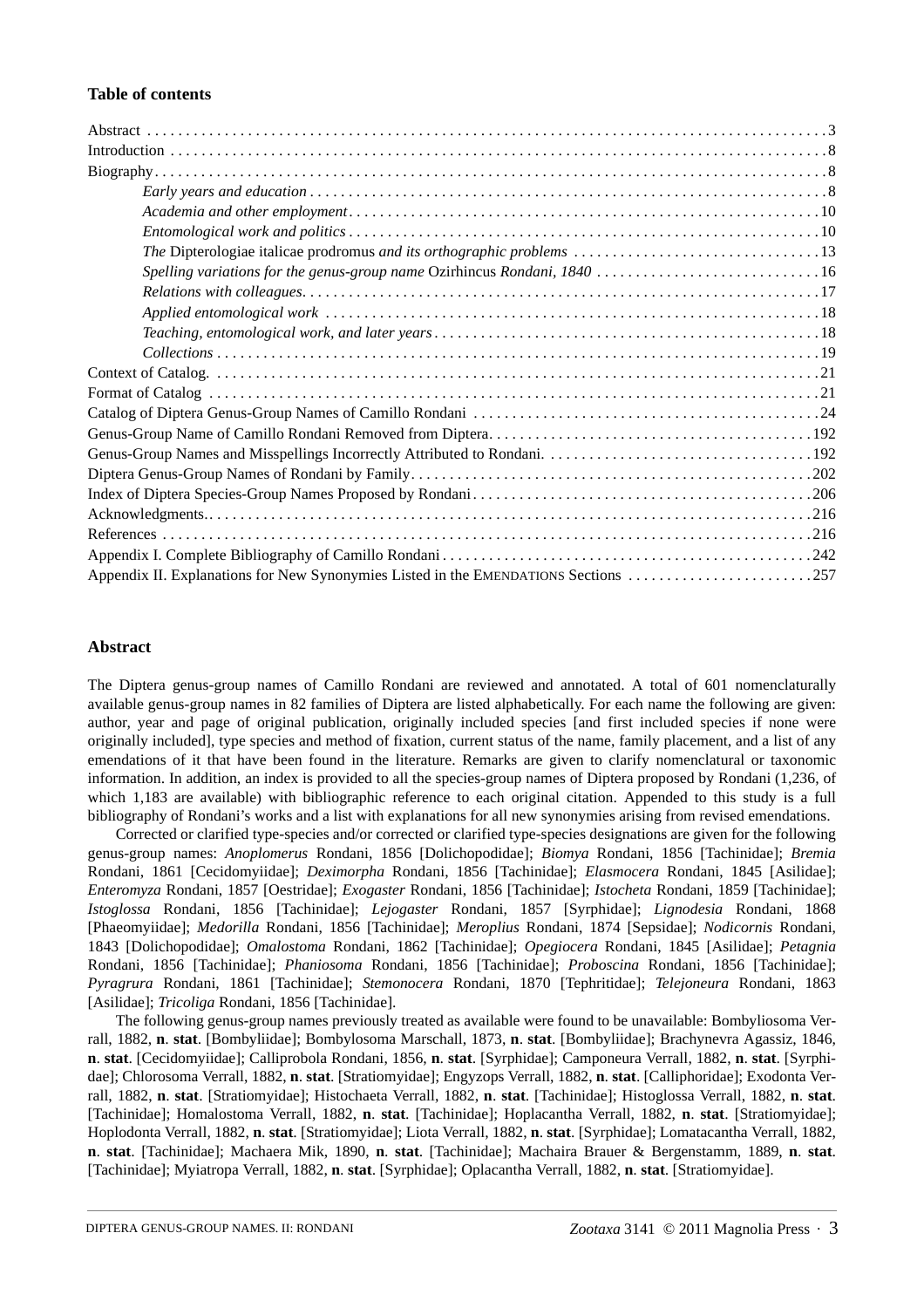### **Table of contents**

| Appendix II. Explanations for New Synonymies Listed in the EMENDATIONS Sections 257 |  |
|-------------------------------------------------------------------------------------|--|

### **Abstract**

The Diptera genus-group names of Camillo Rondani are reviewed and annotated. A total of 601 nomenclaturally available genus-group names in 82 families of Diptera are listed alphabetically. For each name the following are given: author, year and page of original publication, originally included species [and first included species if none were originally included], type species and method of fixation, current status of the name, family placement, and a list of any emendations of it that have been found in the literature. Remarks are given to clarify nomenclatural or taxonomic information. In addition, an index is provided to all the species-group names of Diptera proposed by Rondani (1,236, of which 1,183 are available) with bibliographic reference to each original citation. Appended to this study is a full bibliography of Rondani's works and a list with explanations for all new synonymies arising from revised emendations.

Corrected or clarified type-species and/or corrected or clarified type-species designations are given for the following genus-group names: *Anoplomerus* Rondani, 1856 [Dolichopodidae]; *Biomya* Rondani, 1856 [Tachinidae]; *Bremia* Rondani, 1861 [Cecidomyiidae]; *Deximorpha* Rondani, 1856 [Tachinidae]; *Elasmocera* Rondani, 1845 [Asilidae]; *Enteromyza* Rondani, 1857 [Oestridae]; *Exogaster* Rondani, 1856 [Tachinidae]; *Istocheta* Rondani, 1859 [Tachinidae]; *Istoglossa* Rondani, 1856 [Tachinidae]; *Lejogaster* Rondani, 1857 [Syrphidae]; *Lignodesia* Rondani, 1868 [Phaeomyiidae]; *Medorilla* Rondani, 1856 [Tachinidae]; *Meroplius* Rondani, 1874 [Sepsidae]; *Nodicornis* Rondani, 1843 [Dolichopodidae]; *Omalostoma* Rondani, 1862 [Tachinidae]; *Opegiocera* Rondani, 1845 [Asilidae]; *Petagnia* Rondani, 1856 [Tachinidae]; *Phaniosoma* Rondani, 1856 [Tachinidae]; *Proboscina* Rondani, 1856 [Tachinidae]; *Pyragrura* Rondani, 1861 [Tachinidae]; *Stemonocera* Rondani, 1870 [Tephritidae]; *Telejoneura* Rondani, 1863 [Asilidae]; *Tricoliga* Rondani, 1856 [Tachinidae].

The following genus-group names previously treated as available were found to be unavailable: Bombyliosoma Verrall, 1882, **n**. **stat**. [Bombyliidae]; Bombylosoma Marschall, 1873, **n**. **stat**. [Bombyliidae]; Brachynevra Agassiz, 1846, **n**. **stat**. [Cecidomyiidae]; Calliprobola Rondani, 1856, **n**. **stat**. [Syrphidae]; Camponeura Verrall, 1882, **n**. **stat**. [Syrphidae]; Chlorosoma Verrall, 1882, **n**. **stat**. [Stratiomyidae]; Engyzops Verrall, 1882, **n**. **stat**. [Calliphoridae]; Exodonta Verrall, 1882, **n**. **stat**. [Stratiomyidae]; Histochaeta Verrall, 1882, **n**. **stat**. [Tachinidae]; Histoglossa Verrall, 1882, **n**. **stat**. [Tachinidae]; Homalostoma Verrall, 1882, **n**. **stat**. [Tachinidae]; Hoplacantha Verrall, 1882, **n**. **stat**. [Stratiomyidae]; Hoplodonta Verrall, 1882, **n**. **stat**. [Stratiomyidae]; Liota Verrall, 1882, **n**. **stat**. [Syrphidae]; Lomatacantha Verrall, 1882, **n**. **stat**. [Tachinidae]; Machaera Mik, 1890, **n**. **stat**. [Tachinidae]; Machaira Brauer & Bergenstamm, 1889, **n**. **stat**. [Tachinidae]; Myiatropa Verrall, 1882, **n**. **stat**. [Syrphidae]; Oplacantha Verrall, 1882, **n**. **stat**. [Stratiomyidae].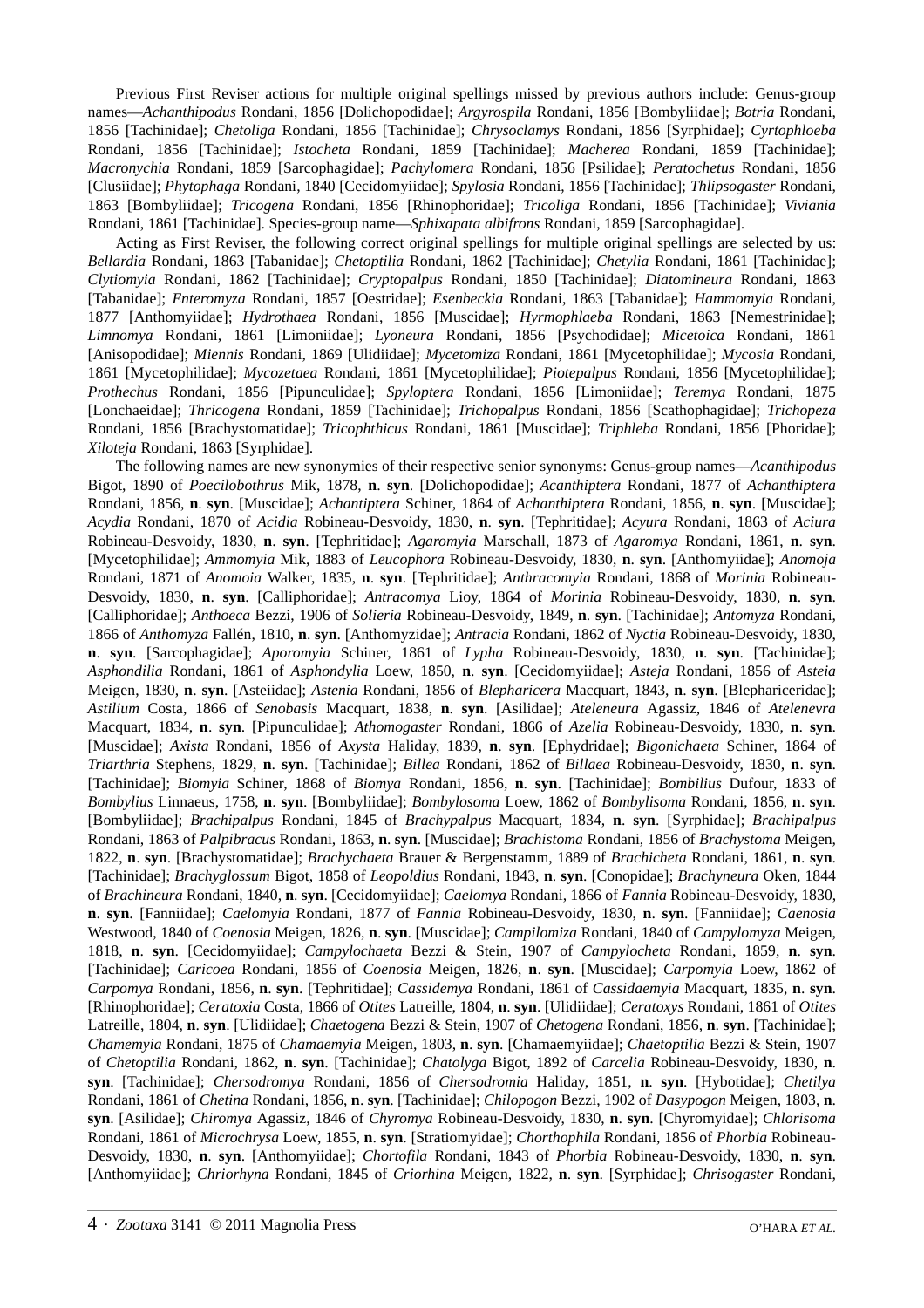Previous First Reviser actions for multiple original spellings missed by previous authors include: Genus-group names—*Achanthipodus* Rondani, 1856 [Dolichopodidae]; *Argyrospila* Rondani, 1856 [Bombyliidae]; *Botria* Rondani, 1856 [Tachinidae]; *Chetoliga* Rondani, 1856 [Tachinidae]; *Chrysoclamys* Rondani, 1856 [Syrphidae]; *Cyrtophloeba* Rondani, 1856 [Tachinidae]; *Istocheta* Rondani, 1859 [Tachinidae]; *Macherea* Rondani, 1859 [Tachinidae]; *Macronychia* Rondani, 1859 [Sarcophagidae]; *Pachylomera* Rondani, 1856 [Psilidae]; *Peratochetus* Rondani, 1856 [Clusiidae]; *Phytophaga* Rondani, 1840 [Cecidomyiidae]; *Spylosia* Rondani, 1856 [Tachinidae]; *Thlipsogaster* Rondani, 1863 [Bombyliidae]; *Tricogena* Rondani, 1856 [Rhinophoridae]; *Tricoliga* Rondani, 1856 [Tachinidae]; *Viviania* Rondani, 1861 [Tachinidae]. Species-group name—*Sphixapata albifrons* Rondani, 1859 [Sarcophagidae].

Acting as First Reviser, the following correct original spellings for multiple original spellings are selected by us: *Bellardia* Rondani, 1863 [Tabanidae]; *Chetoptilia* Rondani, 1862 [Tachinidae]; *Chetylia* Rondani, 1861 [Tachinidae]; *Clytiomyia* Rondani, 1862 [Tachinidae]; *Cryptopalpus* Rondani, 1850 [Tachinidae]; *Diatomineura* Rondani, 1863 [Tabanidae]; *Enteromyza* Rondani, 1857 [Oestridae]; *Esenbeckia* Rondani, 1863 [Tabanidae]; *Hammomyia* Rondani, 1877 [Anthomyiidae]; *Hydrothaea* Rondani, 1856 [Muscidae]; *Hyrmophlaeba* Rondani, 1863 [Nemestrinidae]; *Limnomya* Rondani, 1861 [Limoniidae]; *Lyoneura* Rondani, 1856 [Psychodidae]; *Micetoica* Rondani, 1861 [Anisopodidae]; *Miennis* Rondani, 1869 [Ulidiidae]; *Mycetomiza* Rondani, 1861 [Mycetophilidae]; *Mycosia* Rondani, 1861 [Mycetophilidae]; *Mycozetaea* Rondani, 1861 [Mycetophilidae]; *Piotepalpus* Rondani, 1856 [Mycetophilidae]; *Prothechus* Rondani, 1856 [Pipunculidae]; *Spyloptera* Rondani, 1856 [Limoniidae]; *Teremya* Rondani, 1875 [Lonchaeidae]; *Thricogena* Rondani, 1859 [Tachinidae]; *Trichopalpus* Rondani, 1856 [Scathophagidae]; *Trichopeza* Rondani, 1856 [Brachystomatidae]; *Tricophthicus* Rondani, 1861 [Muscidae]; *Triphleba* Rondani, 1856 [Phoridae]; *Xiloteja* Rondani, 1863 [Syrphidae].

The following names are new synonymies of their respective senior synonyms: Genus-group names—*Acanthipodus* Bigot, 1890 of *Poecilobothrus* Mik, 1878, **n**. **syn**. [Dolichopodidae]; *Acanthiptera* Rondani, 1877 of *Achanthiptera* Rondani, 1856, **n**. **syn**. [Muscidae]; *Achantiptera* Schiner, 1864 of *Achanthiptera* Rondani, 1856, **n**. **syn**. [Muscidae]; *Acydia* Rondani, 1870 of *Acidia* Robineau-Desvoidy, 1830, **n**. **syn**. [Tephritidae]; *Acyura* Rondani, 1863 of *Aciura* Robineau-Desvoidy, 1830, **n**. **syn**. [Tephritidae]; *Agaromyia* Marschall, 1873 of *Agaromya* Rondani, 1861, **n**. **syn**. [Mycetophilidae]; *Ammomyia* Mik, 1883 of *Leucophora* Robineau-Desvoidy, 1830, **n**. **syn**. [Anthomyiidae]; *Anomoja* Rondani, 1871 of *Anomoia* Walker, 1835, **n**. **syn**. [Tephritidae]; *Anthracomyia* Rondani, 1868 of *Morinia* Robineau-Desvoidy, 1830, **n**. **syn**. [Calliphoridae]; *Antracomya* Lioy, 1864 of *Morinia* Robineau-Desvoidy, 1830, **n**. **syn**. [Calliphoridae]; *Anthoeca* Bezzi, 1906 of *Solieria* Robineau-Desvoidy, 1849, **n**. **syn**. [Tachinidae]; *Antomyza* Rondani, 1866 of *Anthomyza* Fallén, 1810, **n**. **syn**. [Anthomyzidae]; *Antracia* Rondani, 1862 of *Nyctia* Robineau-Desvoidy, 1830, **n**. **syn**. [Sarcophagidae]; *Aporomyia* Schiner, 1861 of *Lypha* Robineau-Desvoidy, 1830, **n**. **syn**. [Tachinidae]; *Asphondilia* Rondani, 1861 of *Asphondylia* Loew, 1850, **n**. **syn**. [Cecidomyiidae]; *Asteja* Rondani, 1856 of *Asteia* Meigen, 1830, **n**. **syn**. [Asteiidae]; *Astenia* Rondani, 1856 of *Blepharicera* Macquart, 1843, **n**. **syn**. [Blephariceridae]; *Astilium* Costa, 1866 of *Senobasis* Macquart, 1838, **n**. **syn**. [Asilidae]; *Ateleneura* Agassiz, 1846 of *Atelenevra* Macquart, 1834, **n**. **syn**. [Pipunculidae]; *Athomogaster* Rondani, 1866 of *Azelia* Robineau-Desvoidy, 1830, **n**. **syn**. [Muscidae]; *Axista* Rondani, 1856 of *Axysta* Haliday, 1839, **n**. **syn**. [Ephydridae]; *Bigonichaeta* Schiner, 1864 of *Triarthria* Stephens, 1829, **n**. **syn**. [Tachinidae]; *Billea* Rondani, 1862 of *Billaea* Robineau-Desvoidy, 1830, **n**. **syn**. [Tachinidae]; *Biomyia* Schiner, 1868 of *Biomya* Rondani, 1856, **n**. **syn**. [Tachinidae]; *Bombilius* Dufour, 1833 of *Bombylius* Linnaeus, 1758, **n**. **syn**. [Bombyliidae]; *Bombylosoma* Loew, 1862 of *Bombylisoma* Rondani, 1856, **n**. **syn**. [Bombyliidae]; *Brachipalpus* Rondani, 1845 of *Brachypalpus* Macquart, 1834, **n**. **syn**. [Syrphidae]; *Brachipalpus* Rondani, 1863 of *Palpibracus* Rondani, 1863, **n**. **syn**. [Muscidae]; *Brachistoma* Rondani, 1856 of *Brachystoma* Meigen, 1822, **n**. **syn**. [Brachystomatidae]; *Brachychaeta* Brauer & Bergenstamm, 1889 of *Brachicheta* Rondani, 1861, **n**. **syn**. [Tachinidae]; *Brachyglossum* Bigot, 1858 of *Leopoldius* Rondani, 1843, **n**. **syn**. [Conopidae]; *Brachyneura* Oken, 1844 of *Brachineura* Rondani, 1840, **n**. **syn**. [Cecidomyiidae]; *Caelomya* Rondani, 1866 of *Fannia* Robineau-Desvoidy, 1830, **n**. **syn**. [Fanniidae]; *Caelomyia* Rondani, 1877 of *Fannia* Robineau-Desvoidy, 1830, **n**. **syn**. [Fanniidae]; *Caenosia* Westwood, 1840 of *Coenosia* Meigen, 1826, **n**. **syn**. [Muscidae]; *Campilomiza* Rondani, 1840 of *Campylomyza* Meigen, 1818, **n**. **syn**. [Cecidomyiidae]; *Campylochaeta* Bezzi & Stein, 1907 of *Campylocheta* Rondani, 1859, **n**. **syn**. [Tachinidae]; *Caricoea* Rondani, 1856 of *Coenosia* Meigen, 1826, **n**. **syn**. [Muscidae]; *Carpomyia* Loew, 1862 of *Carpomya* Rondani, 1856, **n**. **syn**. [Tephritidae]; *Cassidemya* Rondani, 1861 of *Cassidaemyia* Macquart, 1835, **n**. **syn**. [Rhinophoridae]; *Ceratoxia* Costa, 1866 of *Otites* Latreille, 1804, **n**. **syn**. [Ulidiidae]; *Ceratoxys* Rondani, 1861 of *Otites* Latreille, 1804, **n**. **syn**. [Ulidiidae]; *Chaetogena* Bezzi & Stein, 1907 of *Chetogena* Rondani, 1856, **n**. **syn**. [Tachinidae]; *Chamemyia* Rondani, 1875 of *Chamaemyia* Meigen, 1803, **n**. **syn**. [Chamaemyiidae]; *Chaetoptilia* Bezzi & Stein, 1907 of *Chetoptilia* Rondani, 1862, **n**. **syn**. [Tachinidae]; *Chatolyga* Bigot, 1892 of *Carcelia* Robineau-Desvoidy, 1830, **n**. **syn**. [Tachinidae]; *Chersodromya* Rondani, 1856 of *Chersodromia* Haliday, 1851, **n**. **syn**. [Hybotidae]; *Chetilya* Rondani, 1861 of *Chetina* Rondani, 1856, **n**. **syn**. [Tachinidae]; *Chilopogon* Bezzi, 1902 of *Dasypogon* Meigen, 1803, **n**. **syn**. [Asilidae]; *Chiromya* Agassiz, 1846 of *Chyromya* Robineau-Desvoidy, 1830, **n**. **syn**. [Chyromyidae]; *Chlorisoma* Rondani, 1861 of *Microchrysa* Loew, 1855, **n**. **syn**. [Stratiomyidae]; *Chorthophila* Rondani, 1856 of *Phorbia* Robineau-Desvoidy, 1830, **n**. **syn**. [Anthomyiidae]; *Chortofila* Rondani, 1843 of *Phorbia* Robineau-Desvoidy, 1830, **n**. **syn**. [Anthomyiidae]; *Chriorhyna* Rondani, 1845 of *Criorhina* Meigen, 1822, **n**. **syn**. [Syrphidae]; *Chrisogaster* Rondani,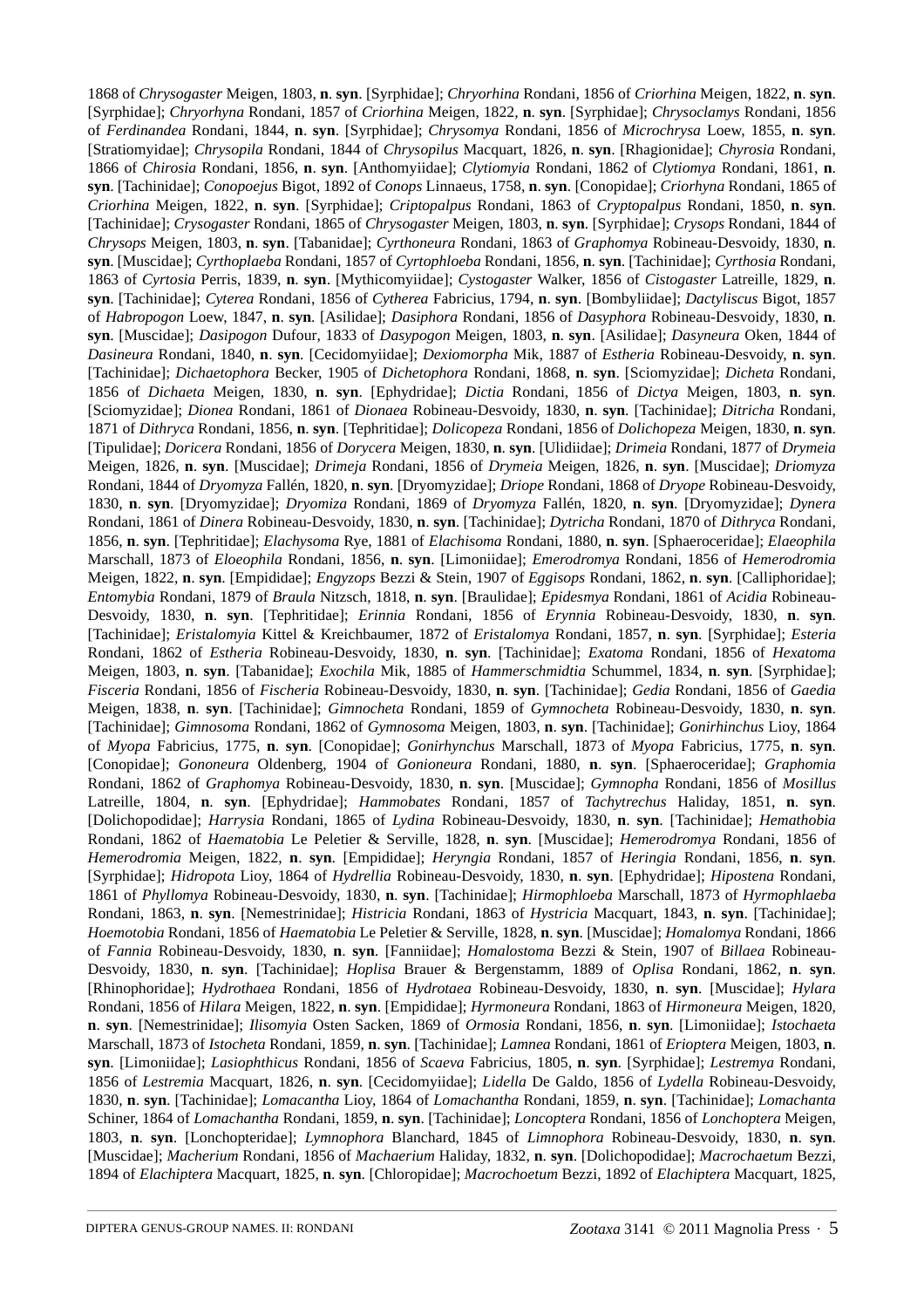1868 of *Chrysogaster* Meigen, 1803, **n**. **syn**. [Syrphidae]; *Chryorhina* Rondani, 1856 of *Criorhina* Meigen, 1822, **n**. **syn**. [Syrphidae]; *Chryorhyna* Rondani, 1857 of *Criorhina* Meigen, 1822, **n**. **syn**. [Syrphidae]; *Chrysoclamys* Rondani, 1856 of *Ferdinandea* Rondani, 1844, **n**. **syn**. [Syrphidae]; *Chrysomya* Rondani, 1856 of *Microchrysa* Loew, 1855, **n**. **syn**. [Stratiomyidae]; *Chrysopila* Rondani, 1844 of *Chrysopilus* Macquart, 1826, **n**. **syn**. [Rhagionidae]; *Chyrosia* Rondani, 1866 of *Chirosia* Rondani, 1856, **n**. **syn**. [Anthomyiidae]; *Clytiomyia* Rondani, 1862 of *Clytiomya* Rondani, 1861, **n**. **syn**. [Tachinidae]; *Conopoejus* Bigot, 1892 of *Conops* Linnaeus, 1758, **n**. **syn**. [Conopidae]; *Criorhyna* Rondani, 1865 of *Criorhina* Meigen, 1822, **n**. **syn**. [Syrphidae]; *Criptopalpus* Rondani, 1863 of *Cryptopalpus* Rondani, 1850, **n**. **syn**. [Tachinidae]; *Crysogaster* Rondani, 1865 of *Chrysogaster* Meigen, 1803, **n**. **syn**. [Syrphidae]; *Crysops* Rondani, 1844 of *Chrysops* Meigen, 1803, **n**. **syn**. [Tabanidae]; *Cyrthoneura* Rondani, 1863 of *Graphomya* Robineau-Desvoidy, 1830, **n**. **syn**. [Muscidae]; *Cyrthoplaeba* Rondani, 1857 of *Cyrtophloeba* Rondani, 1856, **n**. **syn**. [Tachinidae]; *Cyrthosia* Rondani, 1863 of *Cyrtosia* Perris, 1839, **n**. **syn**. [Mythicomyiidae]; *Cystogaster* Walker, 1856 of *Cistogaster* Latreille, 1829, **n**. **syn**. [Tachinidae]; *Cyterea* Rondani, 1856 of *Cytherea* Fabricius, 1794, **n**. **syn**. [Bombyliidae]; *Dactyliscus* Bigot, 1857 of *Habropogon* Loew, 1847, **n**. **syn**. [Asilidae]; *Dasiphora* Rondani, 1856 of *Dasyphora* Robineau-Desvoidy, 1830, **n**. **syn**. [Muscidae]; *Dasipogon* Dufour, 1833 of *Dasypogon* Meigen, 1803, **n**. **syn**. [Asilidae]; *Dasyneura* Oken, 1844 of *Dasineura* Rondani, 1840, **n**. **syn**. [Cecidomyiidae]; *Dexiomorpha* Mik, 1887 of *Estheria* Robineau-Desvoidy, **n**. **syn**. [Tachinidae]; *Dichaetophora* Becker, 1905 of *Dichetophora* Rondani, 1868, **n**. **syn**. [Sciomyzidae]; *Dicheta* Rondani, 1856 of *Dichaeta* Meigen, 1830, **n**. **syn**. [Ephydridae]; *Dictia* Rondani, 1856 of *Dictya* Meigen, 1803, **n**. **syn**. [Sciomyzidae]; *Dionea* Rondani, 1861 of *Dionaea* Robineau-Desvoidy, 1830, **n**. **syn**. [Tachinidae]; *Ditricha* Rondani, 1871 of *Dithryca* Rondani, 1856, **n**. **syn**. [Tephritidae]; *Dolicopeza* Rondani, 1856 of *Dolichopeza* Meigen, 1830, **n**. **syn**. [Tipulidae]; *Doricera* Rondani, 1856 of *Dorycera* Meigen, 1830, **n**. **syn**. [Ulidiidae]; *Drimeia* Rondani, 1877 of *Drymeia* Meigen, 1826, **n**. **syn**. [Muscidae]; *Drimeja* Rondani, 1856 of *Drymeia* Meigen, 1826, **n**. **syn**. [Muscidae]; *Driomyza* Rondani, 1844 of *Dryomyza* Fallén, 1820, **n**. **syn**. [Dryomyzidae]; *Driope* Rondani, 1868 of *Dryope* Robineau-Desvoidy, 1830, **n**. **syn**. [Dryomyzidae]; *Dryomiza* Rondani, 1869 of *Dryomyza* Fallén, 1820, **n**. **syn**. [Dryomyzidae]; *Dynera* Rondani, 1861 of *Dinera* Robineau-Desvoidy, 1830, **n**. **syn**. [Tachinidae]; *Dytricha* Rondani, 1870 of *Dithryca* Rondani, 1856, **n**. **syn**. [Tephritidae]; *Elachysoma* Rye, 1881 of *Elachisoma* Rondani, 1880, **n**. **syn**. [Sphaeroceridae]; *Elaeophila* Marschall, 1873 of *Eloeophila* Rondani, 1856, **n**. **syn**. [Limoniidae]; *Emerodromya* Rondani, 1856 of *Hemerodromia* Meigen, 1822, **n**. **syn**. [Empididae]; *Engyzops* Bezzi & Stein, 1907 of *Eggisops* Rondani, 1862, **n**. **syn**. [Calliphoridae]; *Entomybia* Rondani, 1879 of *Braula* Nitzsch, 1818, **n**. **syn**. [Braulidae]; *Epidesmya* Rondani, 1861 of *Acidia* Robineau-Desvoidy, 1830, **n**. **syn**. [Tephritidae]; *Erinnia* Rondani, 1856 of *Erynnia* Robineau-Desvoidy, 1830, **n**. **syn**. [Tachinidae]; *Eristalomyia* Kittel & Kreichbaumer, 1872 of *Eristalomya* Rondani, 1857, **n**. **syn**. [Syrphidae]; *Esteria* Rondani, 1862 of *Estheria* Robineau-Desvoidy, 1830, **n**. **syn**. [Tachinidae]; *Exatoma* Rondani, 1856 of *Hexatoma* Meigen, 1803, **n**. **syn**. [Tabanidae]; *Exochila* Mik, 1885 of *Hammerschmidtia* Schummel, 1834, **n**. **syn**. [Syrphidae]; *Fisceria* Rondani, 1856 of *Fischeria* Robineau-Desvoidy, 1830, **n**. **syn**. [Tachinidae]; *Gedia* Rondani, 1856 of *Gaedia* Meigen, 1838, **n**. **syn**. [Tachinidae]; *Gimnocheta* Rondani, 1859 of *Gymnocheta* Robineau-Desvoidy, 1830, **n**. **syn**. [Tachinidae]; *Gimnosoma* Rondani, 1862 of *Gymnosoma* Meigen, 1803, **n**. **syn**. [Tachinidae]; *Gonirhinchus* Lioy, 1864 of *Myopa* Fabricius, 1775, **n**. **syn**. [Conopidae]; *Gonirhynchus* Marschall, 1873 of *Myopa* Fabricius, 1775, **n**. **syn**. [Conopidae]; *Gononeura* Oldenberg, 1904 of *Gonioneura* Rondani, 1880, **n**. **syn**. [Sphaeroceridae]; *Graphomia* Rondani, 1862 of *Graphomya* Robineau-Desvoidy, 1830, **n**. **syn**. [Muscidae]; *Gymnopha* Rondani, 1856 of *Mosillus* Latreille, 1804, **n**. **syn**. [Ephydridae]; *Hammobates* Rondani, 1857 of *Tachytrechus* Haliday, 1851, **n**. **syn**. [Dolichopodidae]; *Harrysia* Rondani, 1865 of *Lydina* Robineau-Desvoidy, 1830, **n**. **syn**. [Tachinidae]; *Hemathobia* Rondani, 1862 of *Haematobia* Le Peletier & Serville, 1828, **n**. **syn**. [Muscidae]; *Hemerodromya* Rondani, 1856 of *Hemerodromia* Meigen, 1822, **n**. **syn**. [Empididae]; *Heryngia* Rondani, 1857 of *Heringia* Rondani, 1856, **n**. **syn**. [Syrphidae]; *Hidropota* Lioy, 1864 of *Hydrellia* Robineau-Desvoidy, 1830, **n**. **syn**. [Ephydridae]; *Hipostena* Rondani, 1861 of *Phyllomya* Robineau-Desvoidy, 1830, **n**. **syn**. [Tachinidae]; *Hirmophloeba* Marschall, 1873 of *Hyrmophlaeba* Rondani, 1863, **n**. **syn**. [Nemestrinidae]; *Histricia* Rondani, 1863 of *Hystricia* Macquart, 1843, **n**. **syn**. [Tachinidae]; *Hoemotobia* Rondani, 1856 of *Haematobia* Le Peletier & Serville, 1828, **n**. **syn**. [Muscidae]; *Homalomya* Rondani, 1866 of *Fannia* Robineau-Desvoidy, 1830, **n**. **syn**. [Fanniidae]; *Homalostoma* Bezzi & Stein, 1907 of *Billaea* Robineau-Desvoidy, 1830, **n**. **syn**. [Tachinidae]; *Hoplisa* Brauer & Bergenstamm, 1889 of *Oplisa* Rondani, 1862, **n**. **syn**. [Rhinophoridae]; *Hydrothaea* Rondani, 1856 of *Hydrotaea* Robineau-Desvoidy, 1830, **n**. **syn**. [Muscidae]; *Hylara* Rondani, 1856 of *Hilara* Meigen, 1822, **n**. **syn**. [Empididae]; *Hyrmoneura* Rondani, 1863 of *Hirmoneura* Meigen, 1820, **n**. **syn**. [Nemestrinidae]; *Ilisomyia* Osten Sacken, 1869 of *Ormosia* Rondani, 1856, **n**. **syn**. [Limoniidae]; *Istochaeta* Marschall, 1873 of *Istocheta* Rondani, 1859, **n**. **syn**. [Tachinidae]; *Lamnea* Rondani, 1861 of *Erioptera* Meigen, 1803, **n**. **syn**. [Limoniidae]; *Lasiophthicus* Rondani, 1856 of *Scaeva* Fabricius, 1805, **n**. **syn**. [Syrphidae]; *Lestremya* Rondani, 1856 of *Lestremia* Macquart, 1826, **n**. **syn**. [Cecidomyiidae]; *Lidella* De Galdo, 1856 of *Lydella* Robineau-Desvoidy, 1830, **n**. **syn**. [Tachinidae]; *Lomacantha* Lioy, 1864 of *Lomachantha* Rondani, 1859, **n**. **syn**. [Tachinidae]; *Lomachanta* Schiner, 1864 of *Lomachantha* Rondani, 1859, **n**. **syn**. [Tachinidae]; *Loncoptera* Rondani, 1856 of *Lonchoptera* Meigen, 1803, **n**. **syn**. [Lonchopteridae]; *Lymnophora* Blanchard, 1845 of *Limnophora* Robineau-Desvoidy, 1830, **n**. **syn**. [Muscidae]; *Macherium* Rondani, 1856 of *Machaerium* Haliday, 1832, **n**. **syn**. [Dolichopodidae]; *Macrochaetum* Bezzi, 1894 of *Elachiptera* Macquart, 1825, **n**. **syn**. [Chloropidae]; *Macrochoetum* Bezzi, 1892 of *Elachiptera* Macquart, 1825,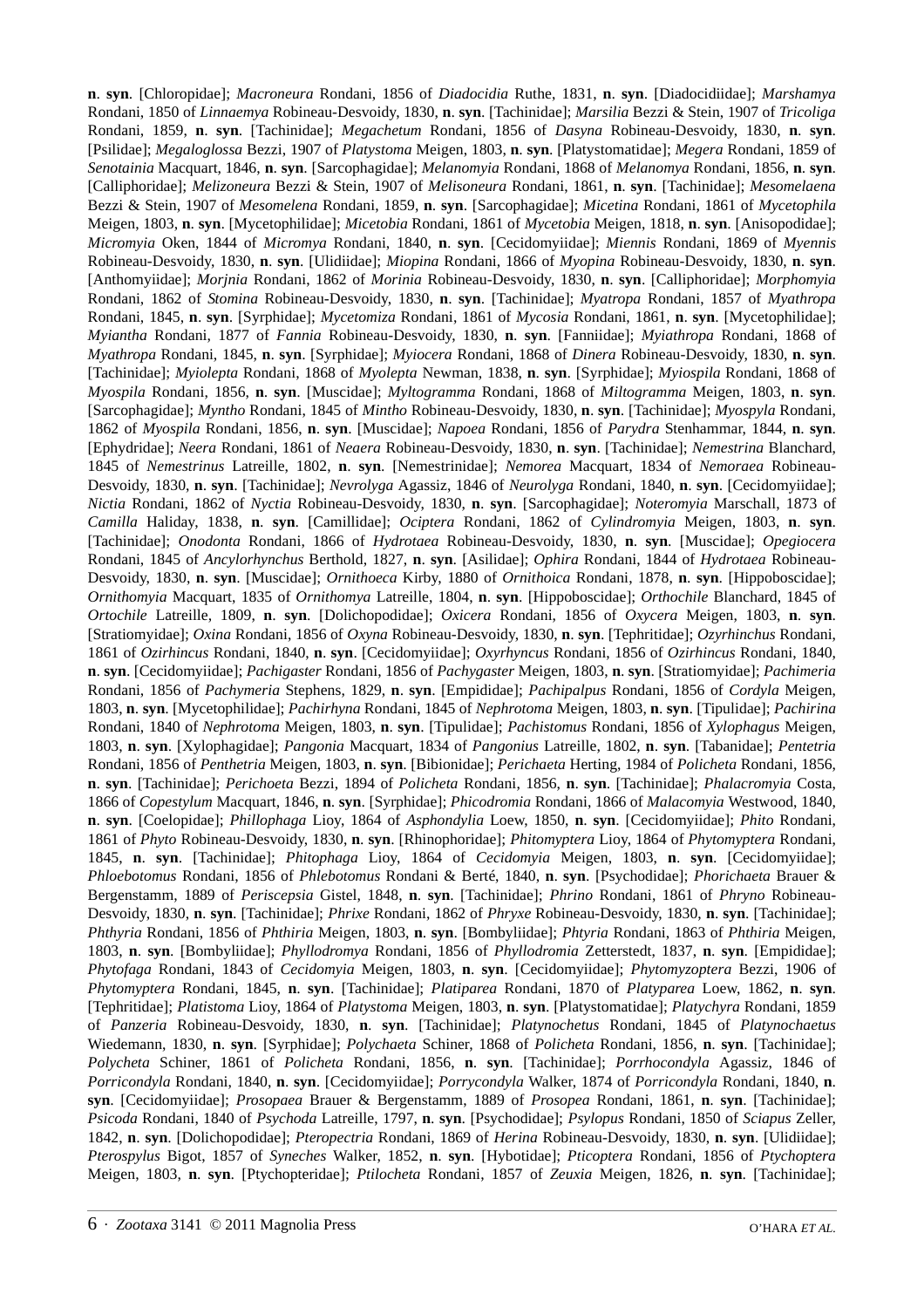**n**. **syn**. [Chloropidae]; *Macroneura* Rondani, 1856 of *Diadocidia* Ruthe, 1831, **n**. **syn**. [Diadocidiidae]; *Marshamya* Rondani, 1850 of *Linnaemya* Robineau-Desvoidy, 1830, **n**. **syn**. [Tachinidae]; *Marsilia* Bezzi & Stein, 1907 of *Tricoliga* Rondani, 1859, **n**. **syn**. [Tachinidae]; *Megachetum* Rondani, 1856 of *Dasyna* Robineau-Desvoidy, 1830, **n**. **syn**. [Psilidae]; *Megaloglossa* Bezzi, 1907 of *Platystoma* Meigen, 1803, **n**. **syn**. [Platystomatidae]; *Megera* Rondani, 1859 of *Senotainia* Macquart, 1846, **n**. **syn**. [Sarcophagidae]; *Melanomyia* Rondani, 1868 of *Melanomya* Rondani, 1856, **n**. **syn**. [Calliphoridae]; *Melizoneura* Bezzi & Stein, 1907 of *Melisoneura* Rondani, 1861, **n**. **syn**. [Tachinidae]; *Mesomelaena* Bezzi & Stein, 1907 of *Mesomelena* Rondani, 1859, **n**. **syn**. [Sarcophagidae]; *Micetina* Rondani, 1861 of *Mycetophila* Meigen, 1803, **n**. **syn**. [Mycetophilidae]; *Micetobia* Rondani, 1861 of *Mycetobia* Meigen, 1818, **n**. **syn**. [Anisopodidae]; *Micromyia* Oken, 1844 of *Micromya* Rondani, 1840, **n**. **syn**. [Cecidomyiidae]; *Miennis* Rondani, 1869 of *Myennis* Robineau-Desvoidy, 1830, **n**. **syn**. [Ulidiidae]; *Miopina* Rondani, 1866 of *Myopina* Robineau-Desvoidy, 1830, **n**. **syn**. [Anthomyiidae]; *Morjnia* Rondani, 1862 of *Morinia* Robineau-Desvoidy, 1830, **n**. **syn**. [Calliphoridae]; *Morphomyia* Rondani, 1862 of *Stomina* Robineau-Desvoidy, 1830, **n**. **syn**. [Tachinidae]; *Myatropa* Rondani, 1857 of *Myathropa* Rondani, 1845, **n**. **syn**. [Syrphidae]; *Mycetomiza* Rondani, 1861 of *Mycosia* Rondani, 1861, **n**. **syn**. [Mycetophilidae]; *Myiantha* Rondani, 1877 of *Fannia* Robineau-Desvoidy, 1830, **n**. **syn**. [Fanniidae]; *Myiathropa* Rondani, 1868 of *Myathropa* Rondani, 1845, **n**. **syn**. [Syrphidae]; *Myiocera* Rondani, 1868 of *Dinera* Robineau-Desvoidy, 1830, **n**. **syn**. [Tachinidae]; *Myiolepta* Rondani, 1868 of *Myolepta* Newman, 1838, **n**. **syn**. [Syrphidae]; *Myiospila* Rondani, 1868 of *Myospila* Rondani, 1856, **n**. **syn**. [Muscidae]; *Myltogramma* Rondani, 1868 of *Miltogramma* Meigen, 1803, **n**. **syn**. [Sarcophagidae]; *Myntho* Rondani, 1845 of *Mintho* Robineau-Desvoidy, 1830, **n**. **syn**. [Tachinidae]; *Myospyla* Rondani, 1862 of *Myospila* Rondani, 1856, **n**. **syn**. [Muscidae]; *Napoea* Rondani, 1856 of *Parydra* Stenhammar, 1844, **n**. **syn**. [Ephydridae]; *Neera* Rondani, 1861 of *Neaera* Robineau-Desvoidy, 1830, **n**. **syn**. [Tachinidae]; *Nemestrina* Blanchard, 1845 of *Nemestrinus* Latreille, 1802, **n**. **syn**. [Nemestrinidae]; *Nemorea* Macquart, 1834 of *Nemoraea* Robineau-Desvoidy, 1830, **n**. **syn**. [Tachinidae]; *Nevrolyga* Agassiz, 1846 of *Neurolyga* Rondani, 1840, **n**. **syn**. [Cecidomyiidae]; *Nictia* Rondani, 1862 of *Nyctia* Robineau-Desvoidy, 1830, **n**. **syn**. [Sarcophagidae]; *Noteromyia* Marschall, 1873 of *Camilla* Haliday, 1838, **n**. **syn**. [Camillidae]; *Ociptera* Rondani, 1862 of *Cylindromyia* Meigen, 1803, **n**. **syn**. [Tachinidae]; *Onodonta* Rondani, 1866 of *Hydrotaea* Robineau-Desvoidy, 1830, **n**. **syn**. [Muscidae]; *Opegiocera* Rondani, 1845 of *Ancylorhynchus* Berthold, 1827, **n**. **syn**. [Asilidae]; *Ophira* Rondani, 1844 of *Hydrotaea* Robineau-Desvoidy, 1830, **n**. **syn**. [Muscidae]; *Ornithoeca* Kirby, 1880 of *Ornithoica* Rondani, 1878, **n**. **syn**. [Hippoboscidae]; *Ornithomyia* Macquart, 1835 of *Ornithomya* Latreille, 1804, **n**. **syn**. [Hippoboscidae]; *Orthochile* Blanchard, 1845 of *Ortochile* Latreille, 1809, **n**. **syn**. [Dolichopodidae]; *Oxicera* Rondani, 1856 of *Oxycera* Meigen, 1803, **n**. **syn**. [Stratiomyidae]; *Oxina* Rondani, 1856 of *Oxyna* Robineau-Desvoidy, 1830, **n**. **syn**. [Tephritidae]; *Ozyrhinchus* Rondani, 1861 of *Ozirhincus* Rondani, 1840, **n**. **syn**. [Cecidomyiidae]; *Oxyrhyncus* Rondani, 1856 of *Ozirhincus* Rondani, 1840, **n**. **syn**. [Cecidomyiidae]; *Pachigaster* Rondani, 1856 of *Pachygaster* Meigen, 1803, **n**. **syn**. [Stratiomyidae]; *Pachimeria* Rondani, 1856 of *Pachymeria* Stephens, 1829, **n**. **syn**. [Empididae]; *Pachipalpus* Rondani, 1856 of *Cordyla* Meigen, 1803, **n**. **syn**. [Mycetophilidae]; *Pachirhyna* Rondani, 1845 of *Nephrotoma* Meigen, 1803, **n**. **syn**. [Tipulidae]; *Pachirina* Rondani, 1840 of *Nephrotoma* Meigen, 1803, **n**. **syn**. [Tipulidae]; *Pachistomus* Rondani, 1856 of *Xylophagus* Meigen, 1803, **n**. **syn**. [Xylophagidae]; *Pangonia* Macquart, 1834 of *Pangonius* Latreille, 1802, **n**. **syn**. [Tabanidae]; *Pentetria* Rondani, 1856 of *Penthetria* Meigen, 1803, **n**. **syn**. [Bibionidae]; *Perichaeta* Herting, 1984 of *Policheta* Rondani, 1856, **n**. **syn**. [Tachinidae]; *Perichoeta* Bezzi, 1894 of *Policheta* Rondani, 1856, **n**. **syn**. [Tachinidae]; *Phalacromyia* Costa, 1866 of *Copestylum* Macquart, 1846, **n**. **syn**. [Syrphidae]; *Phicodromia* Rondani, 1866 of *Malacomyia* Westwood, 1840, **n**. **syn**. [Coelopidae]; *Phillophaga* Lioy, 1864 of *Asphondylia* Loew, 1850, **n**. **syn**. [Cecidomyiidae]; *Phito* Rondani, 1861 of *Phyto* Robineau-Desvoidy, 1830, **n**. **syn**. [Rhinophoridae]; *Phitomyptera* Lioy, 1864 of *Phytomyptera* Rondani, 1845, **n**. **syn**. [Tachinidae]; *Phitophaga* Lioy, 1864 of *Cecidomyia* Meigen, 1803, **n**. **syn**. [Cecidomyiidae]; *Phloebotomus* Rondani, 1856 of *Phlebotomus* Rondani & Berté, 1840, **n**. **syn**. [Psychodidae]; *Phorichaeta* Brauer & Bergenstamm, 1889 of *Periscepsia* Gistel, 1848, **n**. **syn**. [Tachinidae]; *Phrino* Rondani, 1861 of *Phryno* Robineau-Desvoidy, 1830, **n**. **syn**. [Tachinidae]; *Phrixe* Rondani, 1862 of *Phryxe* Robineau-Desvoidy, 1830, **n**. **syn**. [Tachinidae]; *Phthyria* Rondani, 1856 of *Phthiria* Meigen, 1803, **n**. **syn**. [Bombyliidae]; *Phtyria* Rondani, 1863 of *Phthiria* Meigen, 1803, **n**. **syn**. [Bombyliidae]; *Phyllodromya* Rondani, 1856 of *Phyllodromia* Zetterstedt, 1837, **n**. **syn**. [Empididae]; *Phytofaga* Rondani, 1843 of *Cecidomyia* Meigen, 1803, **n**. **syn**. [Cecidomyiidae]; *Phytomyzoptera* Bezzi, 1906 of *Phytomyptera* Rondani, 1845, **n**. **syn**. [Tachinidae]; *Platiparea* Rondani, 1870 of *Platyparea* Loew, 1862, **n**. **syn**. [Tephritidae]; *Platistoma* Lioy, 1864 of *Platystoma* Meigen, 1803, **n**. **syn**. [Platystomatidae]; *Platychyra* Rondani, 1859 of *Panzeria* Robineau-Desvoidy, 1830, **n**. **syn**. [Tachinidae]; *Platynochetus* Rondani, 1845 of *Platynochaetus* Wiedemann, 1830, **n**. **syn**. [Syrphidae]; *Polychaeta* Schiner, 1868 of *Policheta* Rondani, 1856, **n**. **syn**. [Tachinidae]; *Polycheta* Schiner, 1861 of *Policheta* Rondani, 1856, **n**. **syn**. [Tachinidae]; *Porrhocondyla* Agassiz, 1846 of *Porricondyla* Rondani, 1840, **n**. **syn**. [Cecidomyiidae]; *Porrycondyla* Walker, 1874 of *Porricondyla* Rondani, 1840, **n**. **syn**. [Cecidomyiidae]; *Prosopaea* Brauer & Bergenstamm, 1889 of *Prosopea* Rondani, 1861, **n**. **syn**. [Tachinidae]; *Psicoda* Rondani, 1840 of *Psychoda* Latreille, 1797, **n**. **syn**. [Psychodidae]; *Psylopus* Rondani, 1850 of *Sciapus* Zeller, 1842, **n**. **syn**. [Dolichopodidae]; *Pteropectria* Rondani, 1869 of *Herina* Robineau-Desvoidy, 1830, **n**. **syn**. [Ulidiidae]; *Pterospylus* Bigot, 1857 of *Syneches* Walker, 1852, **n**. **syn**. [Hybotidae]; *Pticoptera* Rondani, 1856 of *Ptychoptera* Meigen, 1803, **n**. **syn**. [Ptychopteridae]; *Ptilocheta* Rondani, 1857 of *Zeuxia* Meigen, 1826, **n**. **syn**. [Tachinidae];